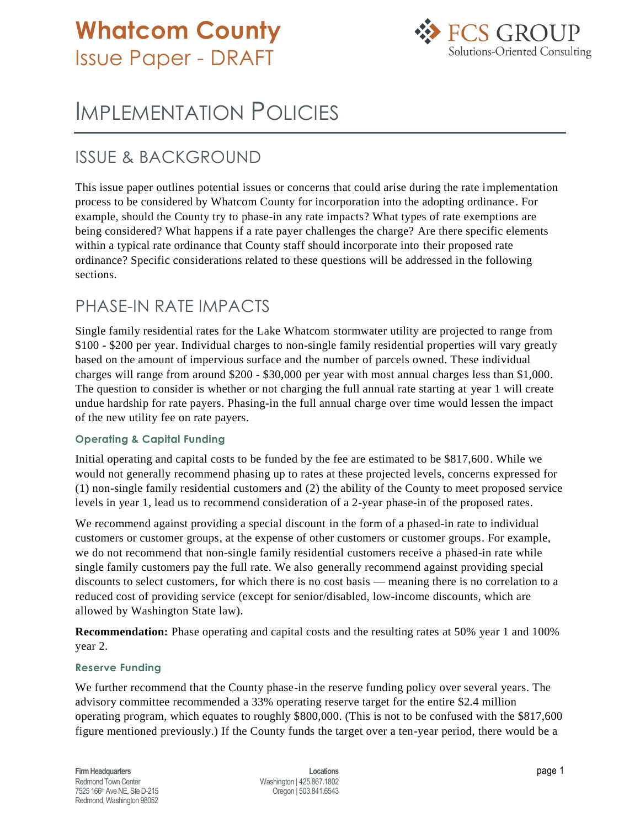# **Whatcom County** Issue Paper - DRAFT



# IMPLEMENTATION POLICIES

## ISSUE & BACKGROUND

This issue paper outlines potential issues or concerns that could arise during the rate implementation process to be considered by Whatcom County for incorporation into the adopting ordinance. For example, should the County try to phase-in any rate impacts? What types of rate exemptions are being considered? What happens if a rate payer challenges the charge? Are there specific elements within a typical rate ordinance that County staff should incorporate into their proposed rate ordinance? Specific considerations related to these questions will be addressed in the following sections.

### PHASE-IN RATE IMPACTS

Single family residential rates for the Lake Whatcom stormwater utility are projected to range from \$100 - \$200 per year. Individual charges to non-single family residential properties will vary greatly based on the amount of impervious surface and the number of parcels owned. These individual charges will range from around \$200 - \$30,000 per year with most annual charges less than \$1,000. The question to consider is whether or not charging the full annual rate starting at year 1 will create undue hardship for rate payers. Phasing-in the full annual charge over time would lessen the impact of the new utility fee on rate payers.

#### **Operating & Capital Funding**

Initial operating and capital costs to be funded by the fee are estimated to be \$817,600. While we would not generally recommend phasing up to rates at these projected levels, concerns expressed for (1) non-single family residential customers and (2) the ability of the County to meet proposed service levels in year 1, lead us to recommend consideration of a 2-year phase-in of the proposed rates.

We recommend against providing a special discount in the form of a phased-in rate to individual customers or customer groups, at the expense of other customers or customer groups. For example, we do not recommend that non-single family residential customers receive a phased-in rate while single family customers pay the full rate. We also generally recommend against providing special discounts to select customers, for which there is no cost basis — meaning there is no correlation to a reduced cost of providing service (except for senior/disabled, low-income discounts, which are allowed by Washington State law).

**Recommendation:** Phase operating and capital costs and the resulting rates at 50% year 1 and 100% year 2.

#### **Reserve Funding**

We further recommend that the County phase-in the reserve funding policy over several years. The advisory committee recommended a 33% operating reserve target for the entire \$2.4 million operating program, which equates to roughly \$800,000. (This is not to be confused with the \$817,600 figure mentioned previously.) If the County funds the target over a ten-year period, there would be a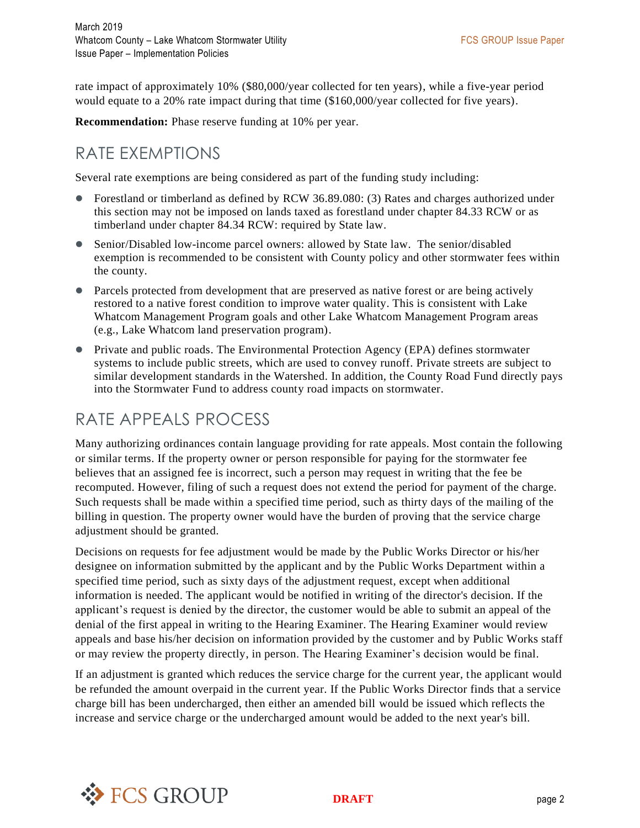rate impact of approximately 10% (\$80,000/year collected for ten years), while a five-year period would equate to a 20% rate impact during that time (\$160,000/year collected for five years).

**Recommendation:** Phase reserve funding at 10% per year.

### RATE EXEMPTIONS

Several rate exemptions are being considered as part of the funding study including:

- Forestland or timberland as defined by RCW 36.89.080: (3) Rates and charges authorized under this section may not be imposed on lands taxed as forestland under chapter 84.33 RCW or as timberland under chapter 84.34 RCW: required by State law.
- Senior/Disabled low-income parcel owners: allowed by State law. The senior/disabled exemption is recommended to be consistent with County policy and other stormwater fees within the county.
- Parcels protected from development that are preserved as native forest or are being actively restored to a native forest condition to improve water quality. This is consistent with Lake Whatcom Management Program goals and other Lake Whatcom Management Program areas (e.g., Lake Whatcom land preservation program).
- Private and public roads. The Environmental Protection Agency (EPA) defines stormwater systems to include public streets, which are used to convey runoff. Private streets are subject to similar development standards in the Watershed. In addition, the County Road Fund directly pays into the Stormwater Fund to address county road impacts on stormwater.

# RATE APPEALS PROCESS

Many authorizing ordinances contain language providing for rate appeals. Most contain the following or similar terms. If the property owner or person responsible for paying for the stormwater fee believes that an assigned fee is incorrect, such a person may request in writing that the fee be recomputed. However, filing of such a request does not extend the period for payment of the charge. Such requests shall be made within a specified time period, such as thirty days of the mailing of the billing in question. The property owner would have the burden of proving that the service charge adjustment should be granted.

Decisions on requests for fee adjustment would be made by the Public Works Director or his/her designee on information submitted by the applicant and by the Public Works Department within a specified time period, such as sixty days of the adjustment request, except when additional information is needed. The applicant would be notified in writing of the director's decision. If the applicant's request is denied by the director, the customer would be able to submit an appeal of the denial of the first appeal in writing to the Hearing Examiner. The Hearing Examiner would review appeals and base his/her decision on information provided by the customer and by Public Works staff or may review the property directly, in person. The Hearing Examiner's decision would be final.

If an adjustment is granted which reduces the service charge for the current year, the applicant would be refunded the amount overpaid in the current year. If the Public Works Director finds that a service charge bill has been undercharged, then either an amended bill would be issued which reflects the increase and service charge or the undercharged amount would be added to the next year's bill.